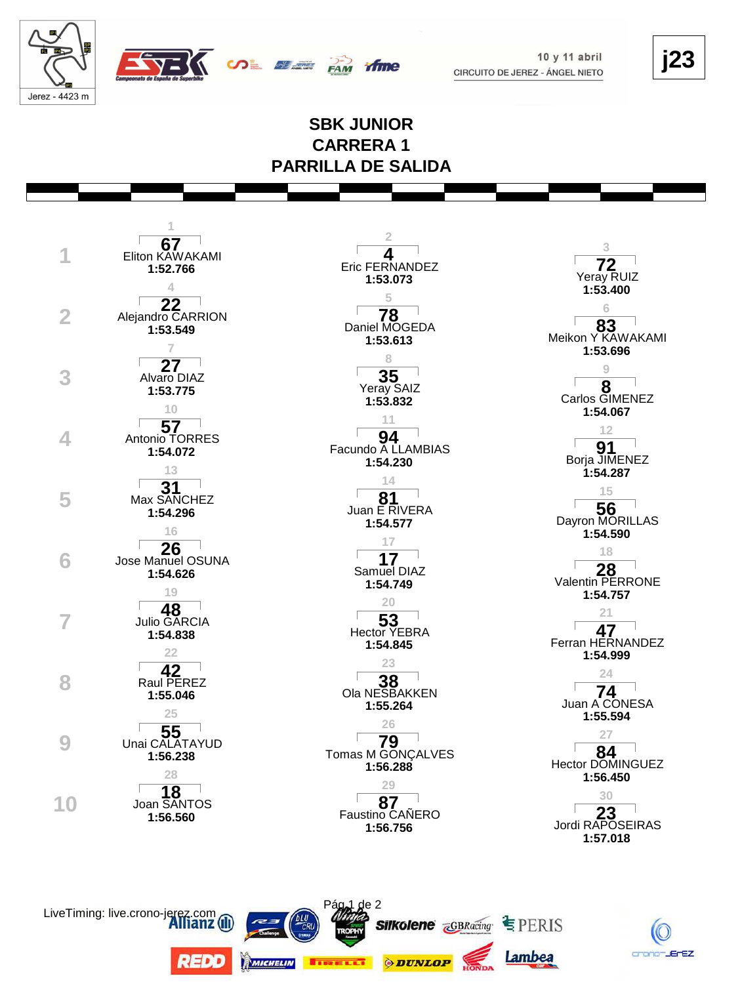

 $10y11$  abril CIRCUITO DE JEREZ - ÁNGEL NIETO **j23**

## **SBK JUNIOR CARRERA 1 PARRILLA DE SALIDA**

rfme

FAM

**SAL SARE** 

|   | 67<br>Eliton KAWAKAMI<br>1:52.766         | 4<br>Eric FERN<br>1:53.0                                             |
|---|-------------------------------------------|----------------------------------------------------------------------|
| 2 | Alejandro CARRION<br>1:53.549             | 5<br>78<br>Daniel MC<br>1:53.6                                       |
|   | <b>Alvaro DIAZ</b><br>1:53.775<br>10      | 8<br>35<br>Yeray <sup>3</sup><br>1:53.8                              |
|   | 57<br>Antonio TORRES<br>1:54.072<br>13    | 11 <sub>1</sub><br>94<br>Facundo A L<br>1:54.2                       |
|   | ا'<br>Max SANCHEZ<br>1:54.296<br>16       | 14.<br>81<br>Juan E <sup>T</sup> RI<br>1:54.5                        |
| 6 | 26<br>Jose Manuel OSUNA<br>1:54.626<br>19 | 17<br>17<br>Samuel<br>1:54.7                                         |
|   | 48<br>Julio GARCIA<br>1:54.838<br>22      | 20<br>53<br>Hector Y<br>1:54.8                                       |
| 8 | 42<br>Raul PEREZ<br>1:55.046<br>25        | 23<br>38<br>Ola NESB<br>1:55.2                                       |
|   | 55<br>Unai CALATAYUD<br>1:56.238<br>28    | 26.<br>79<br>Tomas M GO<br>1:56.2                                    |
|   | 18<br>Joan SANTOS<br>1:56.560             | 29<br><b>87</b><br>.Faustino C<br>$\overline{A}$ . EA $\overline{B}$ |

| Eric FERNANDEZ                |
|-------------------------------|
| 1:53.073                      |
| 5                             |
| 78.<br>Daniel MOGEDA          |
| 1:53.613                      |
| 8<br>35                       |
| Yeray SAIZ<br><b>1:53.832</b> |
|                               |
| 94<br>Facundo A LLAMBIAS      |
| 1:54.230                      |
| 14.                           |
| 81<br>Juan E RIVERA           |
| 1:54.577                      |
| 17<br>17                      |
| Samuel DIAZ<br>1:54.749       |
| 20                            |
| Hector YEBRA                  |
| 1:54.845                      |
| 23                            |
| Ola NEŠBAKKEN                 |
| 1:55.264<br>26                |
| $\mathbf{g}^{\top}$           |
| Tomas M GONCALVES<br>1:56.288 |
| 29                            |
| Faustino CAÑERO               |
| 1:56.756                      |
|                               |

Pág 1 de 2

**EIRELLT ODUNLOP** 

**Silkolene** *GBRacing* FPERIS

Lambea



K crano-JErEZ

LiveTiming: live.crono-jerez.com

**REDD** 

**MICHELIN**